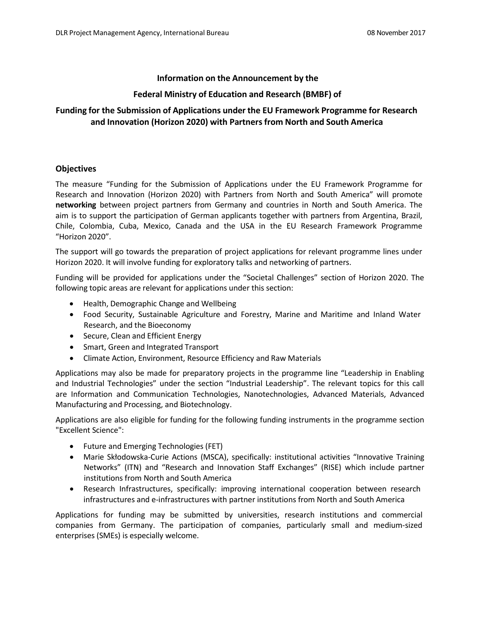### **Information on the Announcement by the**

## **Federal Ministry of Education and Research (BMBF) of**

# **Funding for the Submission of Applications under the EU Framework Programme for Research and Innovation (Horizon 2020) with Partners from North and South America**

### **Objectives**

The measure "Funding for the Submission of Applications under the EU Framework Programme for Research and Innovation (Horizon 2020) with Partners from North and South America" will promote **networking** between project partners from Germany and countries in North and South America. The aim is to support the participation of German applicants together with partners from Argentina, Brazil, Chile, Colombia, Cuba, Mexico, Canada and the USA in the EU Research Framework Programme "Horizon 2020".

The support will go towards the preparation of project applications for relevant programme lines under Horizon 2020. It will involve funding for exploratory talks and networking of partners.

Funding will be provided for applications under the "Societal Challenges" section of Horizon 2020. The following topic areas are relevant for applications under this section:

- [Health, Demographic](http://www.horizont2020.de/einstieg-gesundheit.htm) Change and Wellbeing
- Food Security, [Sustainable](http://www.horizont2020.de/einstieg-biowirtschaft.htm) Agriculture and Forestry, Marine and Maritime and Inland Water Research, and the [Bioeconomy](http://www.horizont2020.de/einstieg-biowirtschaft.htm)
- Secure, [Clean and Efficient](http://www.horizont2020.de/einstieg-energie.htm) Energy
- Smart, Green and [Integrated Transport](http://www.horizont2020.de/einstieg-verkehr.htm)
- Climate Action, [Environment,](http://www.horizont2020.de/einstieg-umwelt.htm) Resource Efficiency and Raw Materials

Applications may also be made for preparatory projects in the programme line "Leadership in Enabling and Industrial Technologies" under the section "Industrial Leadership". The relevant topics for this call are Information and Communication Technologies, Nanotechnologies, Advanced Materials, Advanced Manufacturing and Processing, and Biotechnology.

Applications are also eligible for funding for the following funding instruments in the programme section "Excellent Science":

- Future and [Emerging Technologies](http://www.horizont2020.de/einstieg-fet.htm) (FET)
- Marie Skłodowska-Curie Actions (MSCA), specifically: institutional activities "Innovative Training Networks" (ITN) and "Research and Innovation Staff Exchanges" (RISE) which include partner institutions from North and South America
- Research Infrastructures, specifically: improving international cooperation between research infrastructures and e-infrastructures with partner institutions from North and South America

Applications for funding may be submitted by universities, research institutions and commercial companies from Germany. The participation of companies, particularly small and medium-sized enterprises (SMEs) is especially welcome.